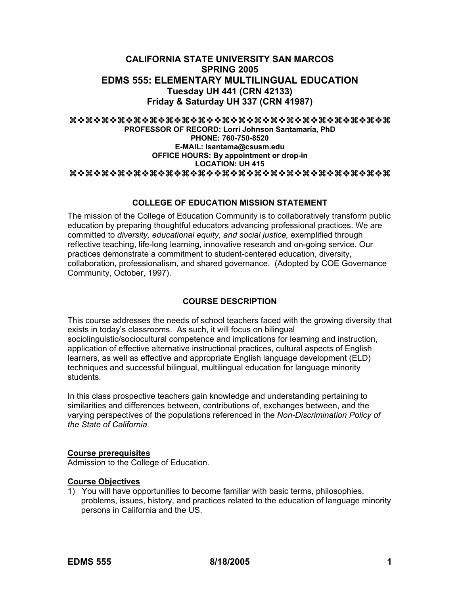# **CALIFORNIA STATE UNIVERSITY SAN MARCOS SPRING 2005 EDMS 555: ELEMENTARY MULTILINGUAL EDUCATION Tuesday UH 441 (CRN 42133) Friday & Saturday UH 337 (CRN 41987)**

#### aaaaaaaaaaaaaaaaaaaa

**PROFESSOR OF RECORD: Lorri Johnson Santamaría, PhD PHONE: 760-750-8520 E-MAIL: lsantama@csusm.edu OFFICE HOURS: By appointment or drop-in LOCATION: UH 415**  aaaaaaaaaaaaaaaaaaaa

# **COLLEGE OF EDUCATION MISSION STATEMENT**

The mission of the College of Education Community is to collaboratively transform public education by preparing thoughtful educators advancing professional practices. We are committed to *diversity, educational equity, and social justice,* exemplified through reflective teaching, life-long learning, innovative research and on-going service. Our practices demonstrate a commitment to student-centered education, diversity, collaboration, professionalism, and shared governance. (Adopted by COE Governance Community, October, 1997).

# **COURSE DESCRIPTION**

This course addresses the needs of school teachers faced with the growing diversity that exists in today's classrooms. As such, it will focus on bilingual sociolinguistic/sociocultural competence and implications for learning and instruction, application of effective alternative instructional practices, cultural aspects of English learners, as well as effective and appropriate English language development (ELD) techniques and successful bilingual, multilingual education for language minority students.

In this class prospective teachers gain knowledge and understanding pertaining to similarities and differences between, contributions of, exchanges between, and the varying perspectives of the populations referenced in the *Non-Discrimination Policy of the State of California.*

#### **Course prerequisites**

Admission to the College of Education.

# **Course Objectives**

1) You will have opportunities to become familiar with basic terms, philosophies, problems, issues, history, and practices related to the education of language minority persons in California and the US.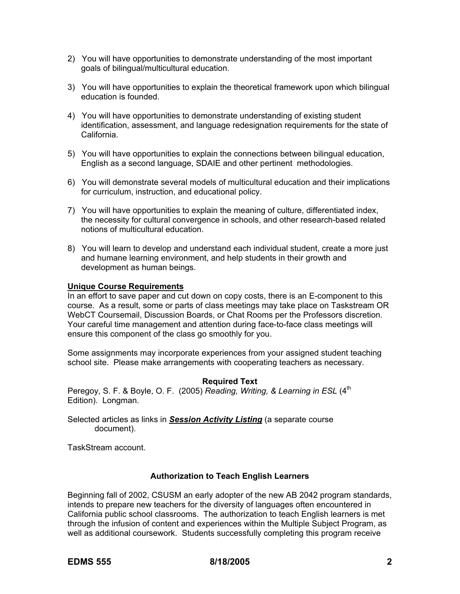- 2) You will have opportunities to demonstrate understanding of the most important goals of bilingual/multicultural education.
- 3) You will have opportunities to explain the theoretical framework upon which bilingual education is founded.
- 4) You will have opportunities to demonstrate understanding of existing student identification, assessment, and language redesignation requirements for the state of California.
- 5) You will have opportunities to explain the connections between bilingual education, English as a second language, SDAIE and other pertinent methodologies.
- 6) You will demonstrate several models of multicultural education and their implications for curriculum, instruction, and educational policy.
- 7) You will have opportunities to explain the meaning of culture, differentiated index, the necessity for cultural convergence in schools, and other research-based related notions of multicultural education.
- 8) You will learn to develop and understand each individual student, create a more just and humane learning environment, and help students in their growth and development as human beings.

## **Unique Course Requirements**

In an effort to save paper and cut down on copy costs, there is an E-component to this course. As a result, some or parts of class meetings may take place on Taskstream OR WebCT Coursemail, Discussion Boards, or Chat Rooms per the Professors discretion. Your careful time management and attention during face-to-face class meetings will ensure this component of the class go smoothly for you.

Some assignments may incorporate experiences from your assigned student teaching school site. Please make arrangements with cooperating teachers as necessary.

#### **Required Text**

Peregoy, S. F. & Boyle, O. F. (2005) *Reading, Writing, & Learning in ESL* (4<sup>th</sup> Edition). Longman.

Selected articles as links in *Session Activity Listing* (a separate course document).

TaskStream account.

#### **Authorization to Teach English Learners**

Beginning fall of 2002, CSUSM an early adopter of the new AB 2042 program standards, intends to prepare new teachers for the diversity of languages often encountered in California public school classrooms. The authorization to teach English learners is met through the infusion of content and experiences within the Multiple Subject Program, as well as additional coursework. Students successfully completing this program receive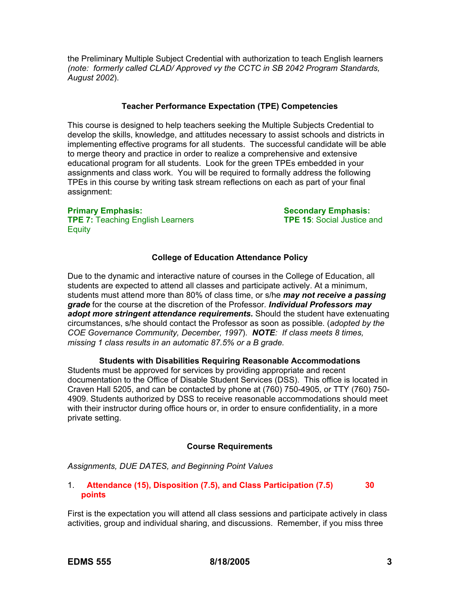the Preliminary Multiple Subject Credential with authorization to teach English learners *(note: formerly called CLAD/ Approved vy the CCTC in SB 2042 Program Standards, August 2002*).

#### **Teacher Performance Expectation (TPE) Competencies**

This course is designed to help teachers seeking the Multiple Subjects Credential to develop the skills, knowledge, and attitudes necessary to assist schools and districts in implementing effective programs for all students. The successful candidate will be able to merge theory and practice in order to realize a comprehensive and extensive educational program for all students. Look for the green TPEs embedded in your assignments and class work. You will be required to formally address the following TPEs in this course by writing task stream reflections on each as part of your final assignment:

**TPE 7:** Teaching English Learners **TPE 15**: Social Justice and **Equity** 

**Primary Emphasis: Secondary Emphasis:** Secondary Emphasis:

# **College of Education Attendance Policy**

Due to the dynamic and interactive nature of courses in the College of Education, all students are expected to attend all classes and participate actively. At a minimum, students must attend more than 80% of class time, or s/he *may not receive a passing grade* for the course at the discretion of the Professor*. Individual Professors may adopt more stringent attendance requirements.* Should the student have extenuating circumstances, s/he should contact the Professor as soon as possible. (*adopted by the COE Governance Community, December, 1997*). *NOTE: If class meets 8 times, missing 1 class results in an automatic 87.5% or a B grade.*

**Students with Disabilities Requiring Reasonable Accommodations**  Students must be approved for services by providing appropriate and recent documentation to the Office of Disable Student Services (DSS). This office is located in Craven Hall 5205, and can be contacted by phone at (760) 750-4905, or TTY (760) 750- 4909. Students authorized by DSS to receive reasonable accommodations should meet with their instructor during office hours or, in order to ensure confidentiality, in a more private setting.

#### **Course Requirements**

*Assignments, DUE DATES, and Beginning Point Values* 

## 1. **Attendance (15), Disposition (7.5), and Class Participation (7.5) 30 points**

First is the expectation you will attend all class sessions and participate actively in class activities, group and individual sharing, and discussions. Remember, if you miss three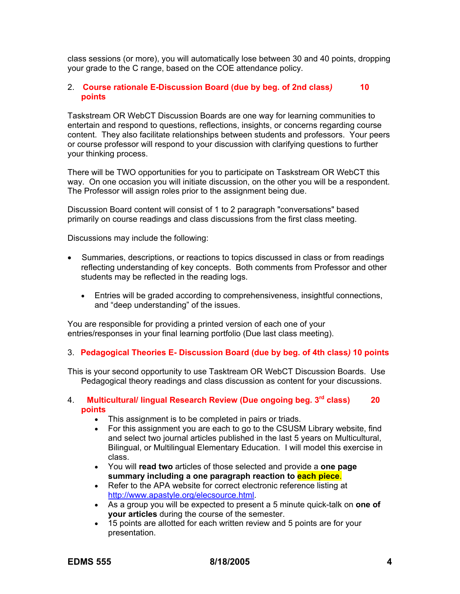class sessions (or more), you will automatically lose between 30 and 40 points, dropping your grade to the C range, based on the COE attendance policy.

#### 2. **Course rationale E-Discussion Board (due by beg. of 2nd class***)* **10 points**

Taskstream OR WebCT Discussion Boards are one way for learning communities to entertain and respond to questions, reflections, insights, or concerns regarding course content. They also facilitate relationships between students and professors. Your peers or course professor will respond to your discussion with clarifying questions to further your thinking process.

There will be TWO opportunities for you to participate on Taskstream OR WebCT this way. On one occasion you will initiate discussion, on the other you will be a respondent. The Professor will assign roles prior to the assignment being due.

Discussion Board content will consist of 1 to 2 paragraph "conversations" based primarily on course readings and class discussions from the first class meeting.

Discussions may include the following:

- Summaries, descriptions, or reactions to topics discussed in class or from readings reflecting understanding of key concepts. Both comments from Professor and other students may be reflected in the reading logs.
	- Entries will be graded according to comprehensiveness, insightful connections, and "deep understanding" of the issues.

You are responsible for providing a printed version of each one of your entries/responses in your final learning portfolio (Due last class meeting).

#### 3. **Pedagogical Theories E- Discussion Board (due by beg. of 4th class***)* **10 points**

This is your second opportunity to use Tasktream OR WebCT Discussion Boards. Use Pedagogical theory readings and class discussion as content for your discussions.

#### 4. **Multicultural/ lingual Research Review (Due ongoing beg. 3rd class) 20 points**

- This assignment is to be completed in pairs or triads.
- For this assignment you are each to go to the CSUSM Library website, find and select two journal articles published in the last 5 years on Multicultural, Bilingual, or Multilingual Elementary Education. I will model this exercise in class.
- You will **read two** articles of those selected and provide a **one page summary including a one paragraph reaction to each piece**.
- Refer to the APA website for correct electronic reference listing at http://www.apastyle.org/elecsource.html.
- As a group you will be expected to present a 5 minute quick-talk on **one of your articles** during the course of the semester.
- 15 points are allotted for each written review and 5 points are for your presentation.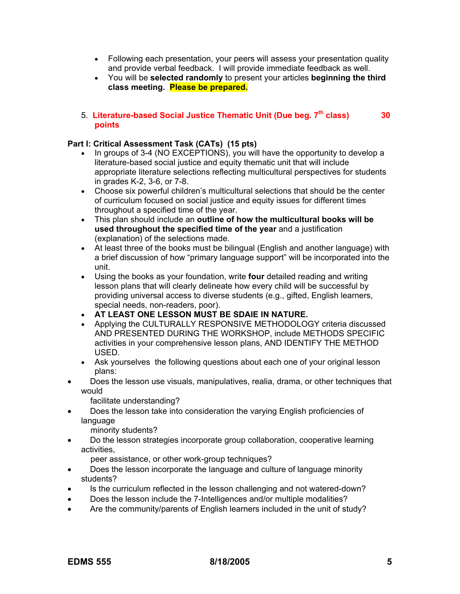- Following each presentation, your peers will assess your presentation quality and provide verbal feedback. I will provide immediate feedback as well.
- You will be **selected randomly** to present your articles **beginning the third class meeting. Please be prepared.**

# 5. **Literature-based Social Justice Thematic Unit (Due beg. 7th class) 30 points**

# **Part I: Critical Assessment Task (CATs) (15 pts)**

- In groups of 3-4 (NO EXCEPTIONS), you will have the opportunity to develop a literature-based social justice and equity thematic unit that will include appropriate literature selections reflecting multicultural perspectives for students in grades K-2, 3-6, or 7-8.
- Choose six powerful children's multicultural selections that should be the center of curriculum focused on social justice and equity issues for different times throughout a specified time of the year.
- This plan should include an **outline of how the multicultural books will be used throughout the specified time of the year** and a justification (explanation) of the selections made.
- At least three of the books must be bilingual (English and another language) with a brief discussion of how "primary language support" will be incorporated into the unit.
- Using the books as your foundation, write **four** detailed reading and writing lesson plans that will clearly delineate how every child will be successful by providing universal access to diverse students (e.g., gifted, English learners, special needs, non-readers, poor).
- **AT LEAST ONE LESSON MUST BE SDAIE IN NATURE.**
- Applying the CULTURALLY RESPONSIVE METHODOLOGY criteria discussed AND PRESENTED DURING THE WORKSHOP, include METHODS SPECIFIC activities in your comprehensive lesson plans, AND IDENTIFY THE METHOD USED.
- Ask yourselves the following questions about each one of your original lesson plans:
- Does the lesson use visuals, manipulatives, realia, drama, or other techniques that would

facilitate understanding?

• Does the lesson take into consideration the varying English proficiencies of language

minority students?

• Do the lesson strategies incorporate group collaboration, cooperative learning activities,

peer assistance, or other work-group techniques?

- Does the lesson incorporate the language and culture of language minority students?
- Is the curriculum reflected in the lesson challenging and not watered-down?
- Does the lesson include the 7-Intelligences and/or multiple modalities?
- Are the community/parents of English learners included in the unit of study?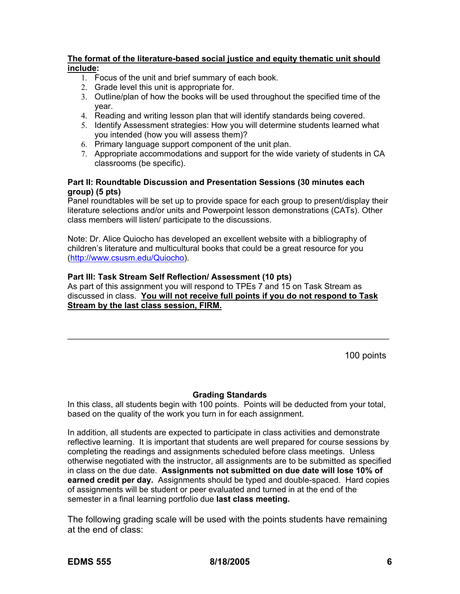# **The format of the literature-based social justice and equity thematic unit should include:**

- 1. Focus of the unit and brief summary of each book.
- 2. Grade level this unit is appropriate for.
- 3. Outline/plan of how the books will be used throughout the specified time of the year.
- 4. Reading and writing lesson plan that will identify standards being covered.
- 5. Identify Assessment strategies: How you will determine students learned what you intended (how you will assess them)?
- 6. Primary language support component of the unit plan.
- 7. Appropriate accommodations and support for the wide variety of students in CA classrooms (be specific).

# **Part II: Roundtable Discussion and Presentation Sessions (30 minutes each group) (5 pts)**

Panel roundtables will be set up to provide space for each group to present/display their literature selections and/or units and Powerpoint lesson demonstrations (CATs). Other class members will listen/ participate to the discussions.

Note: Dr. Alice Quiocho has developed an excellent website with a bibliography of children's literature and multicultural books that could be a great resource for you (http://www.csusm.edu/Quiocho).

# **Part III: Task Stream Self Reflection/ Assessment (10 pts)**

As part of this assignment you will respond to TPEs 7 and 15 on Task Stream as discussed in class. **You will not receive full points if you do not respond to Task Stream by the last class session, FIRM.**

\_\_\_\_\_\_\_\_\_\_\_\_\_\_\_\_\_\_\_\_\_\_\_\_\_\_\_\_\_\_\_\_\_\_\_\_\_\_\_\_\_\_\_\_\_\_\_\_\_\_\_\_\_\_\_\_\_\_\_\_\_\_\_\_\_\_\_\_\_\_

100 points

#### **Grading Standards**

In this class, all students begin with 100 points. Points will be deducted from your total, based on the quality of the work you turn in for each assignment.

In addition, all students are expected to participate in class activities and demonstrate reflective learning. It is important that students are well prepared for course sessions by completing the readings and assignments scheduled before class meetings. Unless otherwise negotiated with the instructor, all assignments are to be submitted as specified in class on the due date. **Assignments not submitted on due date will lose 10% of earned credit per day.** Assignments should be typed and double-spaced. Hard copies of assignments will be student or peer evaluated and turned in at the end of the semester in a final learning portfolio due **last class meeting.**

The following grading scale will be used with the points students have remaining at the end of class: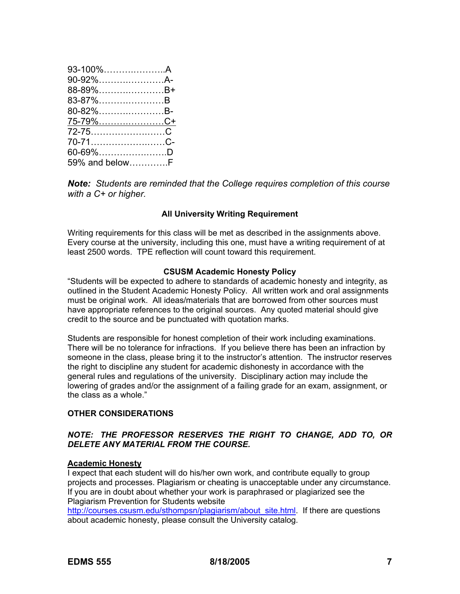| 93-100%A        |  |
|-----------------|--|
| 90-92%A-        |  |
| 88-89%B+        |  |
| 83-87%B         |  |
| 80-82%B-        |  |
| <u>75-79%C+</u> |  |
|                 |  |
| 70-71C-         |  |
| 60-69%D         |  |
| 59% and belowF  |  |

*Note: Students are reminded that the College requires completion of this course with a C+ or higher.*

## **All University Writing Requirement**

Writing requirements for this class will be met as described in the assignments above. Every course at the university, including this one, must have a writing requirement of at least 2500 words. TPE reflection will count toward this requirement.

#### **CSUSM Academic Honesty Policy**

"Students will be expected to adhere to standards of academic honesty and integrity, as outlined in the Student Academic Honesty Policy. All written work and oral assignments must be original work. All ideas/materials that are borrowed from other sources must have appropriate references to the original sources. Any quoted material should give credit to the source and be punctuated with quotation marks.

Students are responsible for honest completion of their work including examinations. There will be no tolerance for infractions. If you believe there has been an infraction by someone in the class, please bring it to the instructor's attention. The instructor reserves the right to discipline any student for academic dishonesty in accordance with the general rules and regulations of the university. Disciplinary action may include the lowering of grades and/or the assignment of a failing grade for an exam, assignment, or the class as a whole."

## **OTHER CONSIDERATIONS**

## *NOTE: THE PROFESSOR RESERVES THE RIGHT TO CHANGE, ADD TO, OR DELETE ANY MATERIAL FROM THE COURSE.*

# **Academic Honesty**

I expect that each student will do his/her own work, and contribute equally to group projects and processes. Plagiarism or cheating is unacceptable under any circumstance. If you are in doubt about whether your work is paraphrased or plagiarized see the Plagiarism Prevention for Students website

http://courses.csusm.edu/sthompsn/plagiarism/about\_site.html. If there are questions about academic honesty, please consult the University catalog.